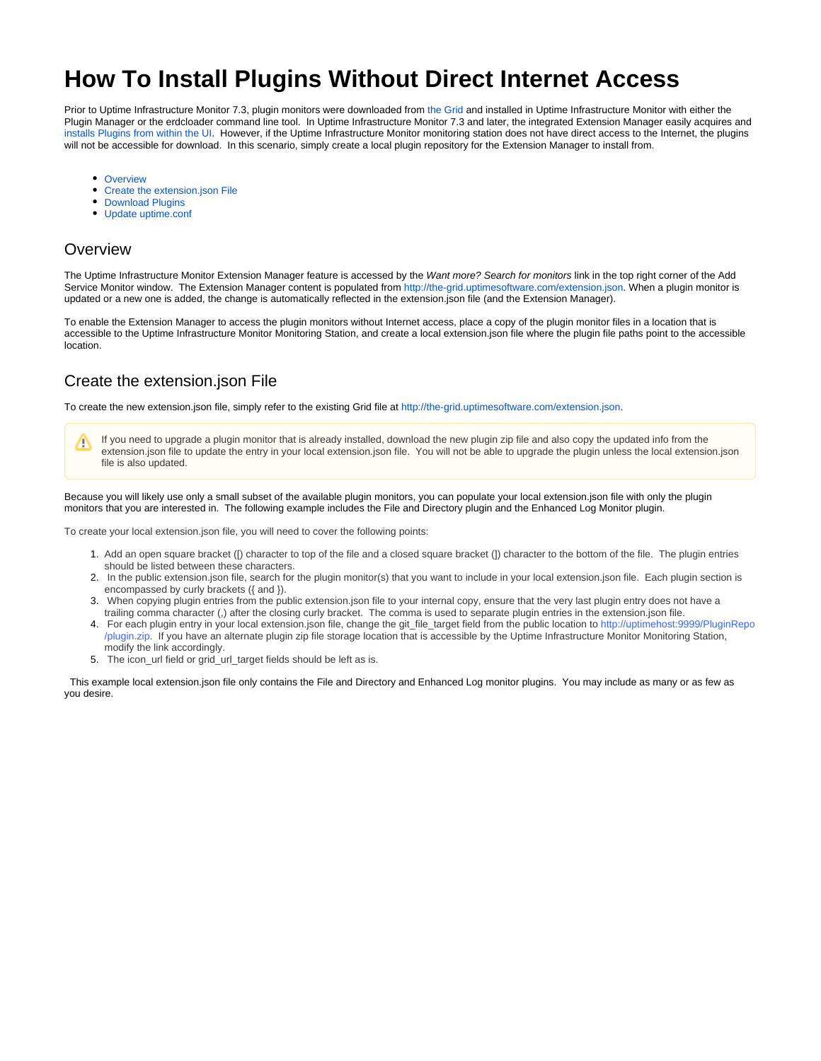# **How To Install Plugins Without Direct Internet Access**

Prior to Uptime Infrastructure Monitor 7.3, plugin monitors were downloaded from [the Grid](http://the-grid.uptimesoftware.com/) and installed in Uptime Infrastructure Monitor with either the Plugin Manager or the erdcloader command line tool. In Uptime Infrastructure Monitor 7.3 and later, the integrated Extension Manager easily acquires and [installs Plugins from within the UI](http://docs.uptimesoftware.com/display/UT/Advanced+Monitors#AdvancedMonitors-PluginMonitors). However, if the Uptime Infrastructure Monitor monitoring station does not have direct access to the Internet, the plugins will not be accessible for download. In this scenario, simply create a local plugin repository for the Extension Manager to install from.

- [Overview](#page-0-0)
- [Create the extension.json File](#page-0-1)
- [Download Plugins](#page-1-0)
- [Update uptime.conf](#page-1-1)

#### <span id="page-0-0"></span>**Overview**

The Uptime Infrastructure Monitor Extension Manager feature is accessed by the Want more? Search for monitors link in the top right corner of the Add Service Monitor window. The Extension Manager content is populated from [http://the-grid.uptimesoftware.com/extension.json.](http://the-grid.uptimesoftware.com/extension.json) When a plugin monitor is updated or a new one is added, the change is automatically reflected in the extension.json file (and the Extension Manager).

To enable the Extension Manager to access the plugin monitors without Internet access, place a copy of the plugin monitor files in a location that is accessible to the Uptime Infrastructure Monitor Monitoring Station, and create a local extension.json file where the plugin file paths point to the accessible location.

## <span id="page-0-1"></span>Create the extension.json File

To create the new extension.json file, simply refer to the existing Grid file at [http://the-grid.uptimesoftware.com/extension.json.](http://the-grid.uptimesoftware.com/extension.json)

If you need to upgrade a plugin monitor that is already installed, download the new plugin zip file and also copy the updated info from the Λ extension.json file to update the entry in your local extension.json file. You will not be able to upgrade the plugin unless the local extension.json file is also updated.

Because you will likely use only a small subset of the available plugin monitors, you can populate your local extension.json file with only the plugin monitors that you are interested in. The following example includes the File and Directory plugin and the Enhanced Log Monitor plugin.

To create your local extension.json file, you will need to cover the following points:

- 1. Add an open square bracket ([) character to top of the file and a closed square bracket (]) character to the bottom of the file. The plugin entries should be listed between these characters.
- 2. In the public extension.json file, search for the plugin monitor(s) that you want to include in your local extension.json file. Each plugin section is encompassed by curly brackets ({ and }).
- 3. When copying plugin entries from the public extension.json file to your internal copy, ensure that the very last plugin entry does not have a trailing comma character (,) after the closing curly bracket. The comma is used to separate plugin entries in the extension.json file.
- 4. For each plugin entry in your local extension.json file, change the git\_file\_target field from the public location to http://uptimehost:9999/PluginRepo /plugin.zip. If you have an alternate plugin zip file storage location that is accessible by the Uptime Infrastructure Monitor Monitoring Station, modify the link accordingly.
- 5. The icon\_url field or grid\_url\_target fields should be left as is.

This example local extension.json file only contains the File and Directory and Enhanced Log monitor plugins. You may include as many or as few as you desire.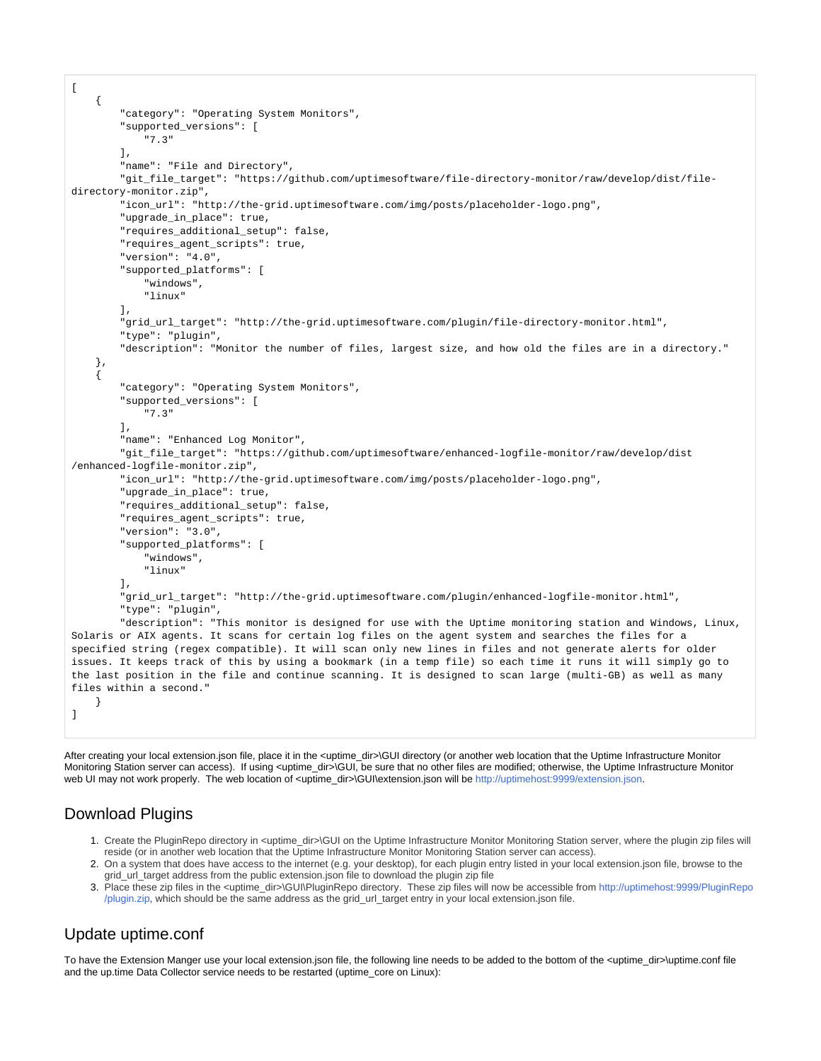```
\overline{a} {
         "category": "Operating System Monitors", 
         "supported_versions": [
             "7.3"
         ], 
         "name": "File and Directory", 
         "git_file_target": "https://github.com/uptimesoftware/file-directory-monitor/raw/develop/dist/file-
directory-monitor.zip", 
         "icon_url": "http://the-grid.uptimesoftware.com/img/posts/placeholder-logo.png", 
         "upgrade_in_place": true, 
         "requires_additional_setup": false, 
         "requires_agent_scripts": true, 
         "version": "4.0", 
         "supported_platforms": [
             "windows", 
             "linux"
        \mathbf{1} "grid_url_target": "http://the-grid.uptimesoftware.com/plugin/file-directory-monitor.html", 
         "type": "plugin", 
         "description": "Monitor the number of files, largest size, and how old the files are in a directory."
     }, 
\{ "category": "Operating System Monitors", 
         "supported_versions": [
             "7.3"
         ], 
         "name": "Enhanced Log Monitor", 
         "git_file_target": "https://github.com/uptimesoftware/enhanced-logfile-monitor/raw/develop/dist
/enhanced-logfile-monitor.zip", 
         "icon_url": "http://the-grid.uptimesoftware.com/img/posts/placeholder-logo.png", 
         "upgrade_in_place": true, 
         "requires_additional_setup": false, 
         "requires_agent_scripts": true, 
         "version": "3.0", 
         "supported_platforms": [
             "windows", 
             "linux"
         ], 
         "grid_url_target": "http://the-grid.uptimesoftware.com/plugin/enhanced-logfile-monitor.html", 
         "type": "plugin", 
         "description": "This monitor is designed for use with the Uptime monitoring station and Windows, Linux, 
Solaris or AIX agents. It scans for certain log files on the agent system and searches the files for a 
specified string (regex compatible). It will scan only new lines in files and not generate alerts for older 
issues. It keeps track of this by using a bookmark (in a temp file) so each time it runs it will simply go to 
the last position in the file and continue scanning. It is designed to scan large (multi-GB) as well as many 
files within a second."
     }
]
```
After creating your local extension.json file, place it in the <uptime\_dir>\GUI directory (or another web location that the Uptime Infrastructure Monitor Monitoring Station server can access). If using <uptime\_dir>\GUI, be sure that no other files are modified; otherwise, the Uptime Infrastructure Monitor web UI may not work properly. The web location of <uptime\_dir>\GUI\extension.json will be http://uptimehost:9999/extension.json.

### <span id="page-1-0"></span>Download Plugins

- 1. Create the PluginRepo directory in <uptime\_dir>\GUI on the Uptime Infrastructure Monitor Monitoring Station server, where the plugin zip files will reside (or in another web location that the Uptime Infrastructure Monitor Monitoring Station server can access).
- 2. On a system that does have access to the internet (e.g. your desktop), for each plugin entry listed in your local extension.json file, browse to the grid\_url\_target address from the public extension.json file to download the plugin zip file
- 3. Place these zip files in the <uptime\_dir>\GUI\PluginRepo directory. These zip files will now be accessible from http://uptimehost:9999/PluginRepo /plugin.zip, which should be the same address as the grid\_url\_target entry in your local extension.json file.

## <span id="page-1-1"></span>Update uptime.conf

To have the Extension Manger use your local extension.json file, the following line needs to be added to the bottom of the <uptime\_dir>\uptime.conf file and the up.time Data Collector service needs to be restarted (uptime\_core on Linux):